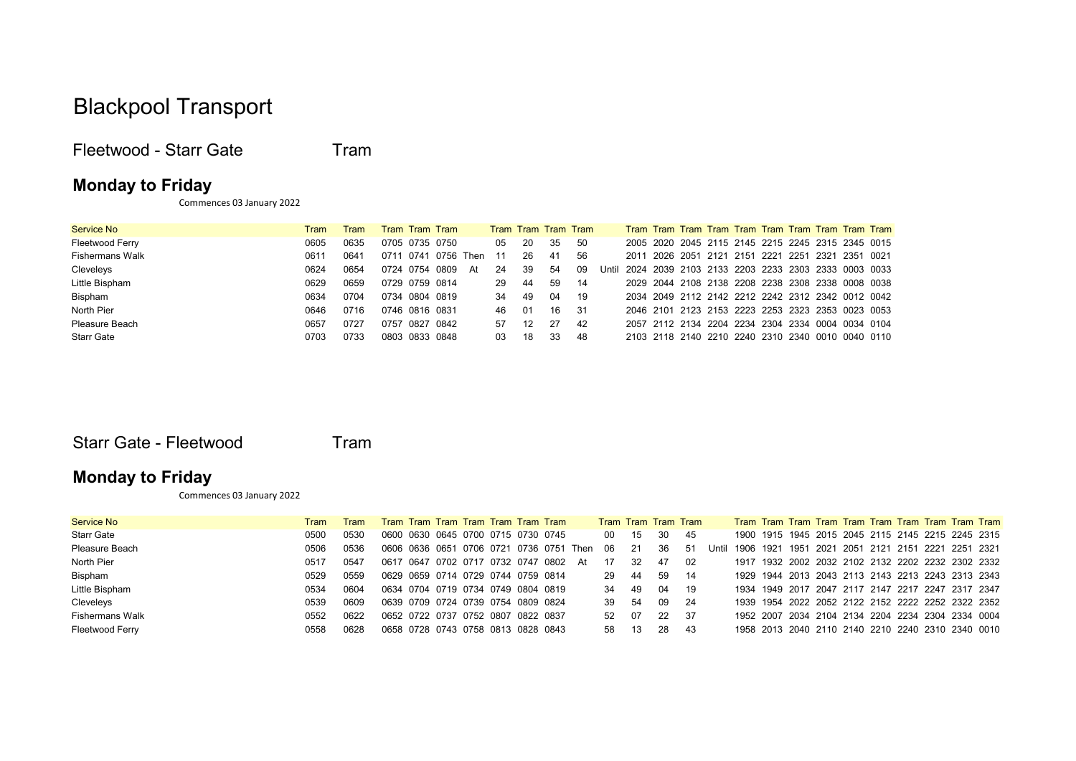# Blackpool Transport

Fleetwood - Starr Gate Tram

#### Monday to Friday

Commences 03 January 2022

| <b>Service No</b>      | <b>Tram</b> | Tram |                |      | Tram Tram Tram |      |     | Tram Tram Tram Tram |     |     |       |                                                   |  |  |                                              |  |                                                   |
|------------------------|-------------|------|----------------|------|----------------|------|-----|---------------------|-----|-----|-------|---------------------------------------------------|--|--|----------------------------------------------|--|---------------------------------------------------|
| Fleetwood Ferry        | 0605        | 0635 | 0705 0735 0750 |      |                |      | 05  | 20                  | 35  | -50 |       |                                                   |  |  |                                              |  | 2005 2020 2045 2115 2145 2215 2245 2315 2345 0015 |
| <b>Fishermans Walk</b> | 061'        | 0641 | 0711           | 0741 | 0756           | Then | -11 | 26                  | -41 | 56  |       | 2011                                              |  |  | 2026 2051 2121 2151 2221 2251 2321 2351 0021 |  |                                                   |
| Cleveleys              | 0624        | 0654 | 0724 0754 0809 |      |                | At   | 24  | -39                 | 54  | -09 | Until | 2024 2039 2103 2133 2203 2233 2303 2333 0003 0033 |  |  |                                              |  |                                                   |
| Little Bispham         | 0629        | 0659 | 0729 0759 0814 |      |                |      | 29  | -44                 | 59  | -14 |       |                                                   |  |  |                                              |  | 2029 2044 2108 2138 2208 2238 2308 2338 0008 0038 |
| Bispham                | 0634        | 0704 | 0734 0804 0819 |      |                |      | 34  | 49                  | 04  | -19 |       |                                                   |  |  |                                              |  | 2034 2049 2112 2142 2212 2242 2312 2342 0012 0042 |
| North Pier             | 0646        | 0716 | 0746 0816 0831 |      |                |      | 46  | -01                 | 16  | -31 |       |                                                   |  |  |                                              |  | 2046 2101 2123 2153 2223 2253 2323 2353 0023 0053 |
| Pleasure Beach         | 0657        | 0727 | 0757           |      | 0827 0842      |      | 57  | -12                 | 27  | 42  |       |                                                   |  |  |                                              |  | 2057 2112 2134 2204 2234 2304 2334 0004 0034 0104 |
| <b>Starr Gate</b>      | 0703        | 0733 | 0803 0833 0848 |      |                |      | 03  | 18                  | 33  | -48 |       |                                                   |  |  |                                              |  | 2103 2118 2140 2210 2240 2310 2340 0010 0040 0110 |

Starr Gate - Fleetwood Tram

### Monday to Friday

Commences 03 January 2022

| Service No      | Tram | Tram | Tram Tram Tram Tram Tram Tram Tram      |  |  |  |    | Tram Tram Tram Tram |     |    |      |       |  |  |                                                   |  |  |                                                   |
|-----------------|------|------|-----------------------------------------|--|--|--|----|---------------------|-----|----|------|-------|--|--|---------------------------------------------------|--|--|---------------------------------------------------|
| Starr Gate      | 0500 | 0530 | 0600 0630 0645 0700 0715 0730 0745      |  |  |  |    | 00 <sup>1</sup>     | 15  | 30 | -45  |       |  |  |                                                   |  |  | 1900 1915 1945 2015 2045 2115 2145 2215 2245 2315 |
| Pleasure Beach  | 0506 | 0536 | 0606 0636 0651 0706 0721 0736 0751 Then |  |  |  |    | 06                  | -21 | 36 | -51  | Until |  |  | 1906 1921 1951 2021 2051 2121 2151 2221 2251 2321 |  |  |                                                   |
| North Pier      | 0517 | 0547 | 0617 0647 0702 0717 0732 0747 0802      |  |  |  | At | 17                  | -32 | 47 | 02   |       |  |  |                                                   |  |  | 1917 1932 2002 2032 2102 2132 2202 2232 2302 2332 |
| Bispham         | 0529 | 0559 | 0629 0659 0714 0729 0744 0759 0814      |  |  |  |    | 29                  | -44 | 59 | - 14 |       |  |  |                                                   |  |  | 1929 1944 2013 2043 2113 2143 2213 2243 2313 2343 |
| Little Bispham  | 0534 | 0604 | 0634 0704 0719 0734 0749 0804 0819      |  |  |  |    | 34                  | 49  | 04 | - 19 |       |  |  | 1934 1949 2017 2047 2117 2147 2217 2247 2317 2347 |  |  |                                                   |
| Cleveleys       | 0539 | 0609 | 0639 0709 0724 0739 0754 0809 0824      |  |  |  |    | 39                  | -54 | 09 | -24  |       |  |  |                                                   |  |  | 1939 1954 2022 2052 2122 2152 2222 2252 2322 2352 |
| Fishermans Walk | 0552 | 0622 | 0652 0722 0737 0752 0807 0822 0837      |  |  |  |    | 52                  | 07  | 22 | 37   |       |  |  | 1952 2007 2034 2104 2134 2204 2234 2304 2334 0004 |  |  |                                                   |
| Fleetwood Ferry | 0558 | 0628 | 0658 0728 0743 0758 0813 0828 0843      |  |  |  |    | 58                  | 13  | 28 | -43  |       |  |  |                                                   |  |  | 1958 2013 2040 2110 2140 2210 2240 2310 2340 0010 |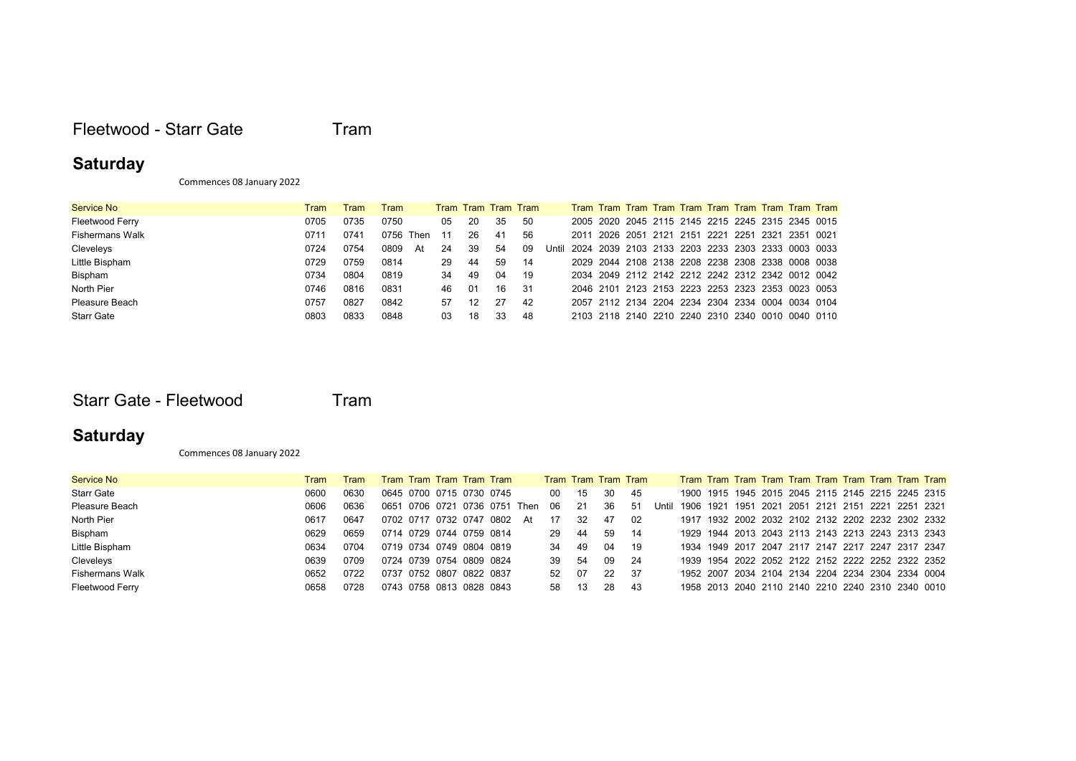#### Fleetwood - Starr Gate Tram

### **Saturday**

Commences 08 January 2022

| Service No             | Tram | Tram | <b>Fram</b>  |     |     | Tram Tram Tram Tram |     |       |  |  |  |  |                                                   |                                                   |
|------------------------|------|------|--------------|-----|-----|---------------------|-----|-------|--|--|--|--|---------------------------------------------------|---------------------------------------------------|
| Fleetwood Ferry        | 0705 | 0735 | 0750         | 05  | -20 | 35                  | -50 |       |  |  |  |  |                                                   | 2005 2020 2045 2115 2145 2215 2245 2315 2345 0015 |
| <b>Fishermans Walk</b> | 0711 | 0741 | 0756<br>Then | -11 | 26  | 41                  | -56 |       |  |  |  |  | 2011 2026 2051 2121 2151 2221 2251 2321 2351 0021 |                                                   |
| Cleveleys              | 0724 | 0754 | 0809<br>At   | 24  | 39  | 54                  | -09 | Until |  |  |  |  |                                                   | 2024 2039 2103 2133 2203 2233 2303 2333 0003 0033 |
| Little Bispham         | 0729 | 0759 | 0814         | 29  | 44  | 59                  | -14 |       |  |  |  |  |                                                   | 2029 2044 2108 2138 2208 2238 2308 2338 0008 0038 |
| Bispham                | 0734 | 0804 | 0819         | 34  | 49  | 04                  | -19 |       |  |  |  |  |                                                   | 2034 2049 2112 2142 2212 2242 2312 2342 0012 0042 |
| North Pier             | 0746 | 0816 | 0831         | 46  | 01  | 16                  | -31 |       |  |  |  |  | 2046 2101 2123 2153 2223 2253 2323 2353 0023 0053 |                                                   |
| Pleasure Beach         | 0757 | 0827 | 0842         | 57  | 12  | 27                  | -42 |       |  |  |  |  |                                                   | 2057 2112 2134 2204 2234 2304 2334 0004 0034 0104 |
| <b>Starr Gate</b>      | 0803 | 0833 | 0848         | 03  | 18  | 33                  | -48 |       |  |  |  |  |                                                   | 2103 2118 2140 2210 2240 2310 2340 0010 0040 0110 |

Starr Gate - Fleetwood Tram

# **Saturday**

Commences 08 January 2022

| Service No             | Tram | Tram |  |                          | Tram Tram Tram Tram Tram      |    |    |     | Tram Tram Tram Tram |      |       |  |  |                                                   |  |  |
|------------------------|------|------|--|--------------------------|-------------------------------|----|----|-----|---------------------|------|-------|--|--|---------------------------------------------------|--|--|
| <b>Starr Gate</b>      | 0600 | 0630 |  |                          | 0645 0700 0715 0730 0745      |    | 00 | 15  | 30                  | - 45 |       |  |  | 1900 1915 1945 2015 2045 2115 2145 2215 2245 2315 |  |  |
| Pleasure Beach         | 0606 | 0636 |  |                          | 0651 0706 0721 0736 0751 Then |    | 06 | -21 | 36                  | -51  | Until |  |  | 1906 1921 1951 2021 2051 2121 2151 2221 2251 2321 |  |  |
| North Pier             | 0617 | 0647 |  |                          | 0702 0717 0732 0747 0802      | At | 17 | -32 | 47                  | 02   |       |  |  | 1917 1932 2002 2032 2102 2132 2202 2232 2302 2332 |  |  |
| Bispham                | 0629 | 0659 |  | 0714 0729 0744 0759 0814 |                               |    | 29 | -44 | 59                  | - 14 |       |  |  | 1929 1944 2013 2043 2113 2143 2213 2243 2313 2343 |  |  |
| Little Bispham         | 0634 | 0704 |  | 0719 0734 0749 0804 0819 |                               |    | 34 | -49 | 04                  | 19   |       |  |  | 1934 1949 2017 2047 2117 2147 2217 2247 2317 2347 |  |  |
| Cleveleys              | 0639 | 0709 |  | 0724 0739 0754 0809 0824 |                               |    | 39 | -54 | 09                  | - 24 |       |  |  | 1939 1954 2022 2052 2122 2152 2222 2252 2322 2352 |  |  |
| <b>Fishermans Walk</b> | 0652 | 0722 |  | 0737 0752 0807 0822 0837 |                               |    | 52 | -07 | 22                  | -37  |       |  |  | 1952 2007 2034 2104 2134 2204 2234 2304 2334 0004 |  |  |
| Fleetwood Ferry        | 0658 | 0728 |  | 0743 0758 0813 0828 0843 |                               |    | 58 | 13  | 28                  | -43  |       |  |  | 1958 2013 2040 2110 2140 2210 2240 2310 2340 0010 |  |  |